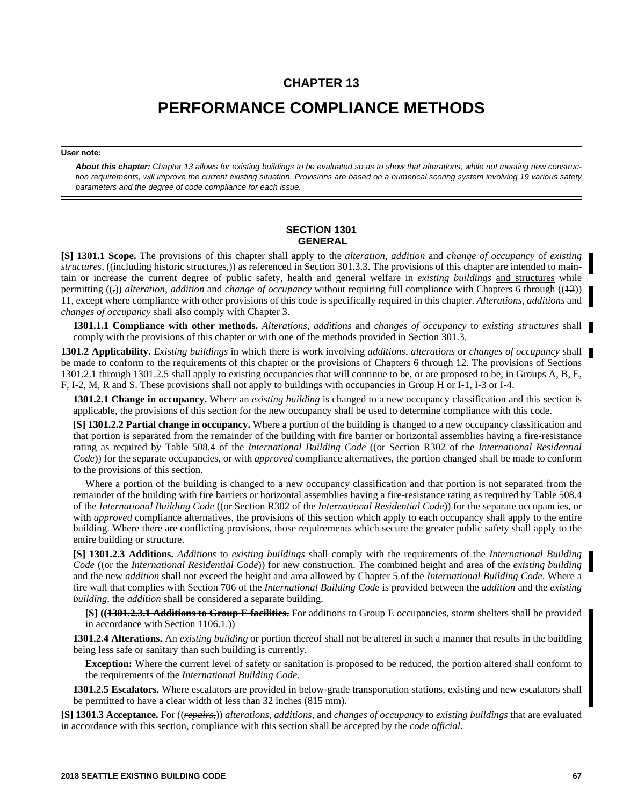## **CHAPTER 13**

# **PERFORMANCE COMPLIANCE METHODS**

#### **User note:**

*About this chapter: Chapter 13 allows for existing buildings to be evaluated so as to show that alterations, while not meeting new construction requirements, will improve the current existing situation. Provisions are based on a numerical scoring system involving 19 various safety parameters and the degree of code compliance for each issue.*

## **SECTION 1301 GENERAL**

**[S] 1301.1 Scope.** The provisions of this chapter shall apply to the *alteration, addition* and *change of occupancy* of *existing structures,* ((including historic structures,)) as referenced in Section 301.3.3. The provisions of this chapter are intended to maintain or increase the current degree of public safety, health and general welfare in *existing buildings* and structures while permitting ((,)) *alteration, addition* and *change of occupancy* without requiring full compliance with Chapters 6 through ((12)) 11, except where compliance with other provisions of this code is specifically required in this chapter. *Alterations, additions* and *changes of occupancy* shall also comply with Chapter 3.

**1301.1.1 Compliance with other methods.** *Alterations*, *additions* and *changes of occupancy* to *existing structures* shall comply with the provisions of this chapter or with one of the methods provided in Section 301.3.

**1301.2 Applicability.** *Existing buildings* in which there is work involving *additions*, *alterations* or *changes of occupancy* shall be made to conform to the requirements of this chapter or the provisions of Chapters 6 through 12. The provisions of Sections 1301.2.1 through 1301.2.5 shall apply to existing occupancies that will continue to be, or are proposed to be, in Groups A, B, E, F, I-2, M, R and S. These provisions shall not apply to buildings with occupancies in Group H or I-1, I-3 or I-4.

**1301.2.1 Change in occupancy.** Where an *existing building* is changed to a new occupancy classification and this section is applicable, the provisions of this section for the new occupancy shall be used to determine compliance with this code.

**[S] 1301.2.2 Partial change in occupancy.** Where a portion of the building is changed to a new occupancy classification and that portion is separated from the remainder of the building with fire barrier or horizontal assemblies having a fire-resistance rating as required by Table 508.4 of the *International Building Code* ((or Section R302 of the *International Residential Code*)) for the separate occupancies, or with *approved* compliance alternatives, the portion changed shall be made to conform to the provisions of this section.

Where a portion of the building is changed to a new occupancy classification and that portion is not separated from the remainder of the building with fire barriers or horizontal assemblies having a fire-resistance rating as required by Table 508.4 of the *International Building Code* ((or Section R302 of the *International Residential Code*)) for the separate occupancies, or with *approved* compliance alternatives, the provisions of this section which apply to each occupancy shall apply to the entire building. Where there are conflicting provisions, those requirements which secure the greater public safety shall apply to the entire building or structure.

**[S] 1301.2.3 Additions.** *Additions* to *existing buildings* shall comply with the requirements of the *International Building Code* ((or the *International Residential Code*)) for new construction. The combined height and area of the *existing building* and the new *addition* shall not exceed the height and area allowed by Chapter 5 of the *International Building Code*. Where a fire wall that complies with Section 706 of the *International Building Code* is provided between the *addition* and the *existing building*, the *addition* shall be considered a separate building.

**[S] ((1301.2.3.1 Additions to Group E facilities.** For additions to Group E occupancies, storm shelters shall be provided in accordance with Section 1106.1.)

**1301.2.4 Alterations.** An *existing building* or portion thereof shall not be altered in such a manner that results in the building being less safe or sanitary than such building is currently.

**Exception:** Where the current level of safety or sanitation is proposed to be reduced, the portion altered shall conform to the requirements of the *International Building Code.*

**1301.2.5 Escalators.** Where escalators are provided in below-grade transportation stations, existing and new escalators shall be permitted to have a clear width of less than 32 inches (815 mm).

**[S] 1301.3 Acceptance.** For ((*repairs,*)) *alterations, additions*, and *changes of occupancy* to *existing buildings* that are evaluated in accordance with this section, compliance with this section shall be accepted by the *code official.*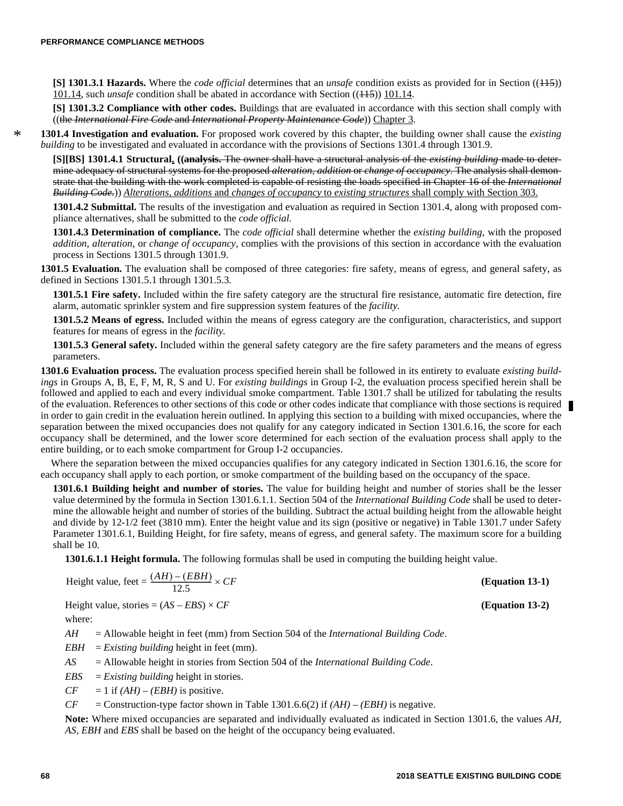\*

**[S] 1301.3.1 Hazards.** Where the *code official* determines that an *unsafe* condition exists as provided for in Section ((115)) 101.14, such *unsafe* condition shall be abated in accordance with Section ((115)) 101.14.

**[S] 1301.3.2 Compliance with other codes.** Buildings that are evaluated in accordance with this section shall comply with ((the *International Fire Code* and *International Property Maintenance Code*)) Chapter 3.

**1301.4 Investigation and evaluation.** For proposed work covered by this chapter, the building owner shall cause the *existing building* to be investigated and evaluated in accordance with the provisions of Sections 1301.4 through 1301.9.

**[S][BS] 1301.4.1 Structural. ((analysis.** The owner shall have a structural analysis of the *existing building* made to determine adequacy of structural systems for the proposed *alteration*, *addition* or *change of occupancy*. The analysis shall demonstrate that the building with the work completed is capable of resisting the loads specified in Chapter 16 of the *International Building Code.*)) *Alterations*, *additions* and *changes of occupancy* to *existing structures* shall comply with Section 303.

**1301.4.2 Submittal.** The results of the investigation and evaluation as required in Section 1301.4, along with proposed compliance alternatives, shall be submitted to the *code official.*

**1301.4.3 Determination of compliance.** The *code official* shall determine whether the *existing building*, with the proposed *addition*, *alteration*, or *change of occupancy,* complies with the provisions of this section in accordance with the evaluation process in Sections 1301.5 through 1301.9.

**1301.5 Evaluation.** The evaluation shall be composed of three categories: fire safety, means of egress, and general safety, as defined in Sections 1301.5.1 through 1301.5.3.

**1301.5.1 Fire safety.** Included within the fire safety category are the structural fire resistance, automatic fire detection, fire alarm, automatic sprinkler system and fire suppression system features of the *facility.*

**1301.5.2 Means of egress.** Included within the means of egress category are the configuration, characteristics, and support features for means of egress in the *facility.*

**1301.5.3 General safety.** Included within the general safety category are the fire safety parameters and the means of egress parameters.

**1301.6 Evaluation process.** The evaluation process specified herein shall be followed in its entirety to evaluate *existing buildings* in Groups A, B, E, F, M, R, S and U. For *existing buildings* in Group I-2, the evaluation process specified herein shall be followed and applied to each and every individual smoke compartment. Table 1301.7 shall be utilized for tabulating the results of the evaluation. References to other sections of this code or other codes indicate that compliance with those sections is required in order to gain credit in the evaluation herein outlined. In applying this section to a building with mixed occupancies, where the separation between the mixed occupancies does not qualify for any category indicated in Section 1301.6.16, the score for each occupancy shall be determined, and the lower score determined for each section of the evaluation process shall apply to the entire building, or to each smoke compartment for Group I-2 occupancies.

Where the separation between the mixed occupancies qualifies for any category indicated in Section 1301.6.16, the score for each occupancy shall apply to each portion, or smoke compartment of the building based on the occupancy of the space.

**1301.6.1 Building height and number of stories.** The value for building height and number of stories shall be the lesser value determined by the formula in Section 1301.6.1.1. Section 504 of the *International Building Code* shall be used to determine the allowable height and number of stories of the building. Subtract the actual building height from the allowable height and divide by 12-1/2 feet (3810 mm). Enter the height value and its sign (positive or negative) in Table 1301.7 under Safety Parameter 1301.6.1, Building Height, for fire safety, means of egress, and general safety. The maximum score for a building shall be 10.

**1301.6.1.1 Height formula.** The following formulas shall be used in computing the building height value.

Height value, feet = 
$$
\frac{(AH) - (EBH)}{12.5} \times CF
$$

Height value, stories  $=(AS - EBS) \times CF$  **(Equation 13-2)** 

where:

*AH* = Allowable height in feet (mm) from Section 504 of the *International Building Code*.

*EBH* = *Existing building* height in feet (mm).

*AS* = Allowable height in stories from Section 504 of the *International Building Code*.

*EBS* = *Existing building* height in stories.

 $CF = 1$  if  $(AH) - (EBH)$  is positive.

*CF* = Construction-type factor shown in Table 1301.6.6(2) if  $(AH) - (EBH)$  is negative.

**Note:** Where mixed occupancies are separated and individually evaluated as indicated in Section 1301.6, the values *AH, AS, EBH* and *EBS* shall be based on the height of the occupancy being evaluated.

**(Equation 13-1)**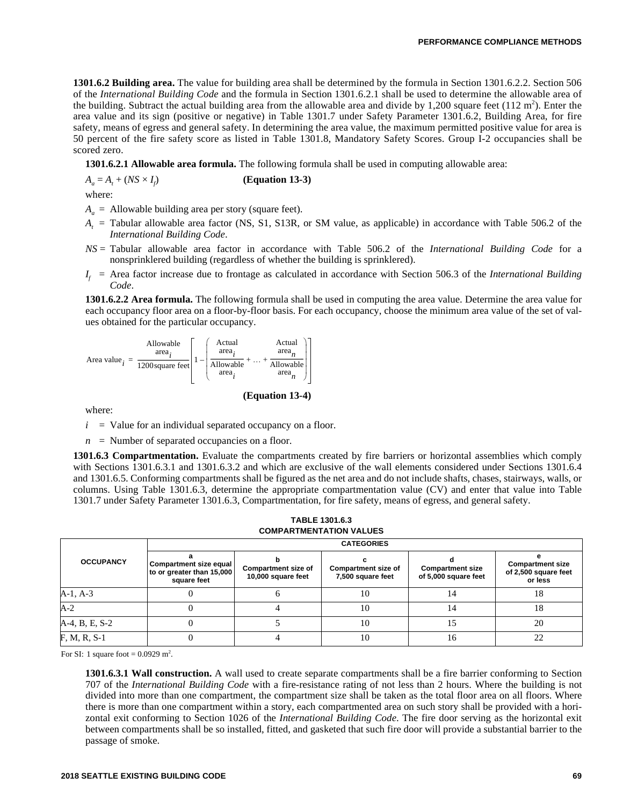**1301.6.2 Building area.** The value for building area shall be determined by the formula in Section 1301.6.2.2. Section 506 of the *International Building Code* and the formula in Section 1301.6.2.1 shall be used to determine the allowable area of the building. Subtract the actual building area from the allowable area and divide by 1,200 square feet  $(112 \text{ m}^2)$ . Enter the area value and its sign (positive or negative) in Table 1301.7 under Safety Parameter 1301.6.2, Building Area, for fire safety, means of egress and general safety. In determining the area value, the maximum permitted positive value for area is 50 percent of the fire safety score as listed in Table 1301.8, Mandatory Safety Scores. Group I-2 occupancies shall be scored zero.

**1301.6.2.1 Allowable area formula.** The following formula shall be used in computing allowable area:

 $A_a = A_t + (NS \times I_f)$ ) **(Equation 13-3)**

where:

 $A_a$  = Allowable building area per story (square feet).

- *A<sup>t</sup>* = Tabular allowable area factor (NS, S1, S13R, or SM value, as applicable) in accordance with Table 506.2 of the *International Building Code*.
- *NS* = Tabular allowable area factor in accordance with Table 506.2 of the *International Building Code* for a nonsprinklered building (regardless of whether the building is sprinklered).
- *I <sup>f</sup>* = Area factor increase due to frontage as calculated in accordance with Section 506.3 of the *International Building Code*.

**1301.6.2.2 Area formula.** The following formula shall be used in computing the area value. Determine the area value for each occupancy floor area on a floor-by-floor basis. For each occupancy, choose the minimum area value of the set of values obtained for the particular occupancy.



**(Equation 13-4)**

where:

 $i =$  Value for an individual separated occupancy on a floor.

 $n =$  Number of separated occupancies on a floor.

**1301.6.3 Compartmentation.** Evaluate the compartments created by fire barriers or horizontal assemblies which comply with Sections 1301.6.3.1 and 1301.6.3.2 and which are exclusive of the wall elements considered under Sections 1301.6.4 and 1301.6.5. Conforming compartments shall be figured as the net area and do not include shafts, chases, stairways, walls, or columns. Using Table 1301.6.3, determine the appropriate compartmentation value (CV) and enter that value into Table 1301.7 under Safety Parameter 1301.6.3, Compartmentation, for fire safety, means of egress, and general safety.

|                  |                                                                                                                        | <b>CATEGORIES</b> |                                                 |                                                 |                                                            |  |  |  |  |  |
|------------------|------------------------------------------------------------------------------------------------------------------------|-------------------|-------------------------------------------------|-------------------------------------------------|------------------------------------------------------------|--|--|--|--|--|
| <b>OCCUPANCY</b> | Compartment size equal<br><b>Compartment size of</b><br>to or greater than 15,000<br>10,000 square feet<br>square feet |                   | <b>Compartment size of</b><br>7,500 square feet | <b>Compartment size</b><br>of 5,000 square feet | <b>Compartment size</b><br>of 2,500 square feet<br>or less |  |  |  |  |  |
| $A-1, A-3$       |                                                                                                                        |                   | 10                                              | 14                                              | 18                                                         |  |  |  |  |  |
| $A-2$            |                                                                                                                        |                   | 10                                              | 14                                              | 18                                                         |  |  |  |  |  |
| A-4, B, E, S-2   |                                                                                                                        |                   | 10                                              | 15                                              | 20                                                         |  |  |  |  |  |
| $F, M, R, S-1$   |                                                                                                                        |                   | 10                                              | 16                                              | 22                                                         |  |  |  |  |  |

**TABLE 1301.6.3 COMPARTMENTATION VALUES** 

For SI: 1 square foot =  $0.0929$  m<sup>2</sup>.

**1301.6.3.1 Wall construction.** A wall used to create separate compartments shall be a fire barrier conforming to Section 707 of the *International Building Code* with a fire-resistance rating of not less than 2 hours. Where the building is not divided into more than one compartment, the compartment size shall be taken as the total floor area on all floors. Where there is more than one compartment within a story, each compartmented area on such story shall be provided with a horizontal exit conforming to Section 1026 of the *International Building Code*. The fire door serving as the horizontal exit between compartments shall be so installed, fitted, and gasketed that such fire door will provide a substantial barrier to the passage of smoke.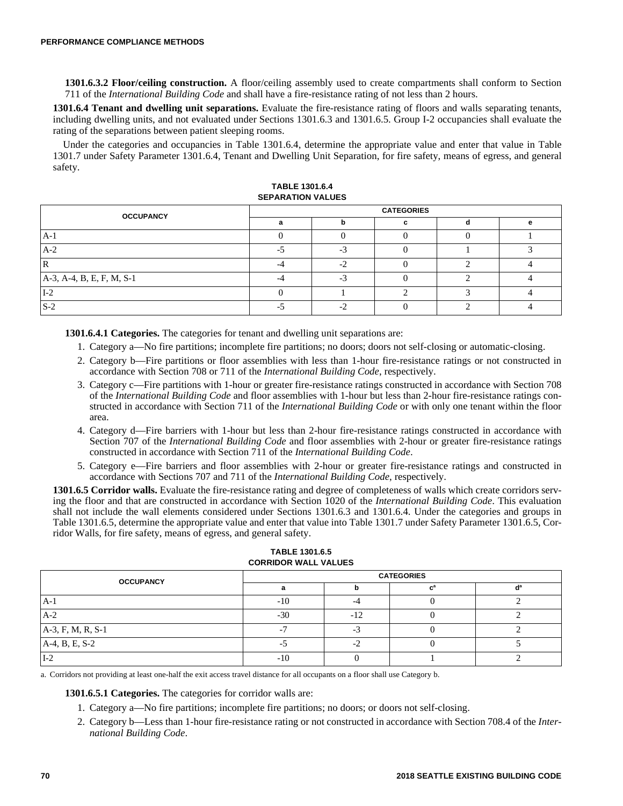**1301.6.3.2 Floor/ceiling construction.** A floor/ceiling assembly used to create compartments shall conform to Section 711 of the *International Building Code* and shall have a fire-resistance rating of not less than 2 hours.

**1301.6.4 Tenant and dwelling unit separations.** Evaluate the fire-resistance rating of floors and walls separating tenants, including dwelling units, and not evaluated under Sections 1301.6.3 and 1301.6.5. Group I-2 occupancies shall evaluate the rating of the separations between patient sleeping rooms.

Under the categories and occupancies in Table 1301.6.4, determine the appropriate value and enter that value in Table 1301.7 under Safety Parameter 1301.6.4, Tenant and Dwelling Unit Separation, for fire safety, means of egress, and general safety.

| <b>CATEGORIES</b> |  |  |  |  |  |
|-------------------|--|--|--|--|--|
|                   |  |  |  |  |  |
|                   |  |  |  |  |  |
|                   |  |  |  |  |  |
|                   |  |  |  |  |  |
|                   |  |  |  |  |  |
|                   |  |  |  |  |  |
|                   |  |  |  |  |  |
|                   |  |  |  |  |  |

| <b>TABLE 1301.6.4</b>    |
|--------------------------|
| <b>SEPARATION VALUES</b> |

**1301.6.4.1 Categories.** The categories for tenant and dwelling unit separations are:

- 1. Category a—No fire partitions; incomplete fire partitions; no doors; doors not self-closing or automatic-closing.
- 2. Category b—Fire partitions or floor assemblies with less than 1-hour fire-resistance ratings or not constructed in accordance with Section 708 or 711 of the *International Building Code*, respectively.
- 3. Category c—Fire partitions with 1-hour or greater fire-resistance ratings constructed in accordance with Section 708 of the *International Building Code* and floor assemblies with 1-hour but less than 2-hour fire-resistance ratings constructed in accordance with Section 711 of the *International Building Code* or with only one tenant within the floor area.
- 4. Category d—Fire barriers with 1-hour but less than 2-hour fire-resistance ratings constructed in accordance with Section 707 of the *International Building Code* and floor assemblies with 2-hour or greater fire-resistance ratings constructed in accordance with Section 711 of the *International Building Code*.
- 5. Category e—Fire barriers and floor assemblies with 2-hour or greater fire-resistance ratings and constructed in accordance with Sections 707 and 711 of the *International Building Code*, respectively.

**1301.6.5 Corridor walls.** Evaluate the fire-resistance rating and degree of completeness of walls which create corridors serving the floor and that are constructed in accordance with Section 1020 of the *International Building Code*. This evaluation shall not include the wall elements considered under Sections 1301.6.3 and 1301.6.4. Under the categories and groups in Table 1301.6.5, determine the appropriate value and enter that value into Table 1301.7 under Safety Parameter 1301.6.5, Corridor Walls, for fire safety, means of egress, and general safety.

| <b>OCCUPANCY</b>  | <b>CATEGORIES</b> |       |  |  |  |  |
|-------------------|-------------------|-------|--|--|--|--|
|                   |                   |       |  |  |  |  |
| $A-1$             | $-10$             |       |  |  |  |  |
| $A-2$             | $-30$             | $-12$ |  |  |  |  |
| A-3, F, M, R, S-1 |                   |       |  |  |  |  |
| A-4, B, E, S-2    |                   |       |  |  |  |  |
| $I-2$             | $-10$             |       |  |  |  |  |

#### **TABLE 1301.6.5 CORRIDOR WALL VALUES**

a. Corridors not providing at least one-half the exit access travel distance for all occupants on a floor shall use Category b.

**1301.6.5.1 Categories.** The categories for corridor walls are:

- 1. Category a—No fire partitions; incomplete fire partitions; no doors; or doors not self-closing.
- 2. Category b—Less than 1-hour fire-resistance rating or not constructed in accordance with Section 708.4 of the *International Building Code*.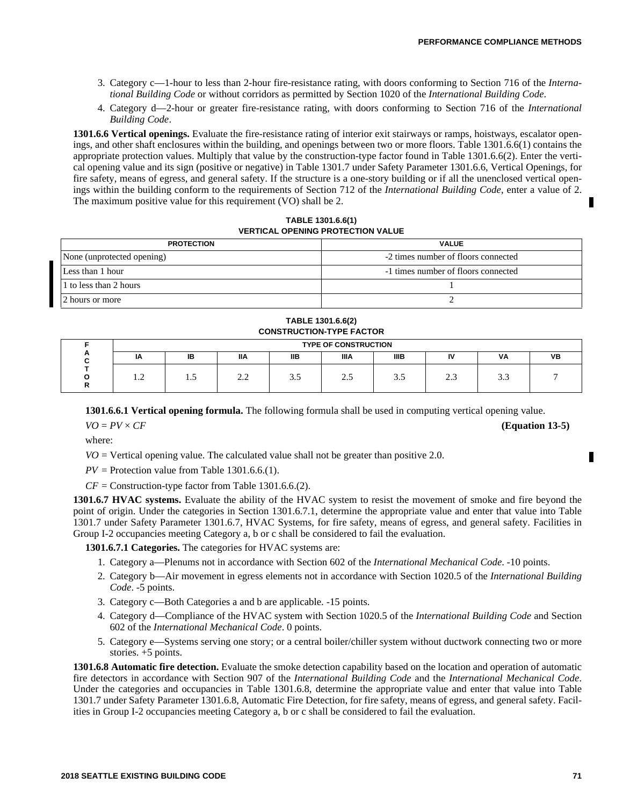- 3. Category c—1-hour to less than 2-hour fire-resistance rating, with doors conforming to Section 716 of the *International Building Code* or without corridors as permitted by Section 1020 of the *International Building Code*.
- 4. Category d—2-hour or greater fire-resistance rating, with doors conforming to Section 716 of the *International Building Code*.

**1301.6.6 Vertical openings.** Evaluate the fire-resistance rating of interior exit stairways or ramps, hoistways, escalator openings, and other shaft enclosures within the building, and openings between two or more floors. Table 1301.6.6(1) contains the appropriate protection values. Multiply that value by the construction-type factor found in Table 1301.6.6(2). Enter the vertical opening value and its sign (positive or negative) in Table 1301.7 under Safety Parameter 1301.6.6, Vertical Openings, for fire safety, means of egress, and general safety. If the structure is a one-story building or if all the unenclosed vertical openings within the building conform to the requirements of Section 712 of the *International Building Code*, enter a value of 2. The maximum positive value for this requirement (VO) shall be 2.

**TABLE 1301.6.6(1) VERTICAL OPENING PROTECTION VALUE**

|                            | <b>PROTECTION</b>      | <b>VALUE</b>                        |  |  |  |
|----------------------------|------------------------|-------------------------------------|--|--|--|
| None (unprotected opening) |                        | -2 times number of floors connected |  |  |  |
| Less than 1 hour           |                        | -1 times number of floors connected |  |  |  |
|                            | 1 to less than 2 hours |                                     |  |  |  |
|                            | 12 hours or more       |                                     |  |  |  |

**TABLE 1301.6.6(2) CONSTRUCTION-TYPE FACTOR**

|   | <b>TYPE OF CONSTRUCTION</b> |     |                                           |            |       |      |    |      |           |  |
|---|-----------------------------|-----|-------------------------------------------|------------|-------|------|----|------|-----------|--|
| n | ΙA                          | IB  | ΙIΑ                                       | <b>IIB</b> | IIIA  | IIIB | IV | VA   | <b>VB</b> |  |
|   | $\cdot$                     | ن . | $\sim$ $\sim$<br>$\overline{\phantom{m}}$ | ر. ر       | ر . ب | J.J  | ر… | ن. ب |           |  |

**1301.6.6.1 Vertical opening formula.** The following formula shall be used in computing vertical opening value.

 $VO = PV \times CF$  (Equation 13-5)

where:

 $VO =$  Vertical opening value. The calculated value shall not be greater than positive 2.0.

 $PV =$  Protection value from Table 1301.6.6.(1).

 $CF =$  Construction-type factor from Table 1301.6.6.(2).

**1301.6.7 HVAC systems.** Evaluate the ability of the HVAC system to resist the movement of smoke and fire beyond the point of origin. Under the categories in Section 1301.6.7.1, determine the appropriate value and enter that value into Table 1301.7 under Safety Parameter 1301.6.7, HVAC Systems, for fire safety, means of egress, and general safety. Facilities in Group I-2 occupancies meeting Category a, b or c shall be considered to fail the evaluation.

**1301.6.7.1 Categories.** The categories for HVAC systems are:

- 1. Category a—Plenums not in accordance with Section 602 of the *International Mechanical Code*. -10 points.
- 2. Category b—Air movement in egress elements not in accordance with Section 1020.5 of the *International Building Code*. -5 points.
- 3. Category c—Both Categories a and b are applicable. -15 points.
- 4. Category d—Compliance of the HVAC system with Section 1020.5 of the *International Building Code* and Section 602 of the *International Mechanical Code*. 0 points.
- 5. Category e—Systems serving one story; or a central boiler/chiller system without ductwork connecting two or more stories. +5 points.

**1301.6.8 Automatic fire detection.** Evaluate the smoke detection capability based on the location and operation of automatic fire detectors in accordance with Section 907 of the *International Building Code* and the *International Mechanical Code*. Under the categories and occupancies in Table 1301.6.8, determine the appropriate value and enter that value into Table 1301.7 under Safety Parameter 1301.6.8, Automatic Fire Detection, for fire safety, means of egress, and general safety. Facilities in Group I-2 occupancies meeting Category a, b or c shall be considered to fail the evaluation.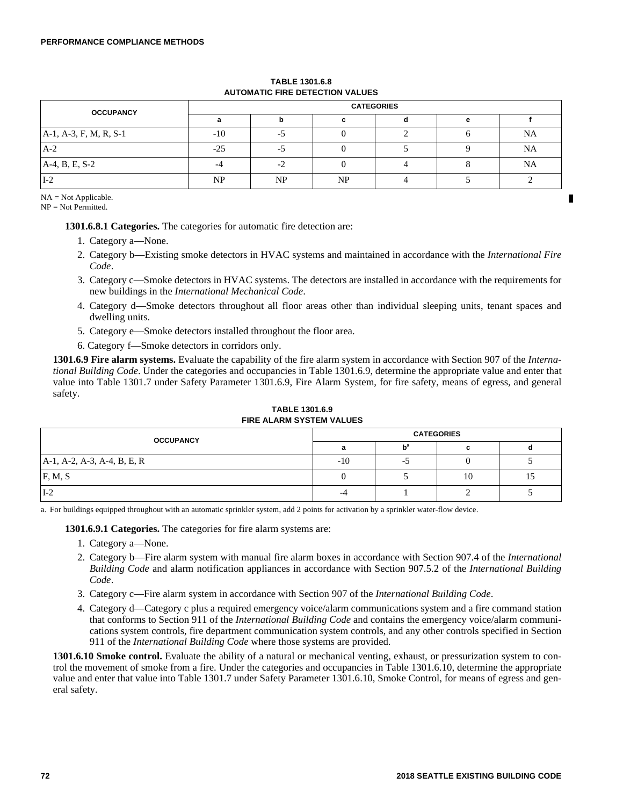| <b>OCCUPANCY</b>          | <b>CATEGORIES</b> |      |    |  |  |           |  |  |
|---------------------------|-------------------|------|----|--|--|-----------|--|--|
|                           |                   |      |    |  |  |           |  |  |
| $A-1$ , A-3, F, M, R, S-1 | -10               |      |    |  |  | <b>NA</b> |  |  |
| $A-2$                     | -25               |      |    |  |  | <b>NA</b> |  |  |
| $A-4, B, E, S-2$          |                   | $-2$ |    |  |  | <b>NA</b> |  |  |
| $I-2$                     | NP                | NP   | NP |  |  |           |  |  |

## **TABLE 1301.6.8 AUTOMATIC FIRE DETECTION VALUES**

NA = Not Applicable.

NP = Not Permitted.

**1301.6.8.1 Categories.** The categories for automatic fire detection are:

- 1. Category a—None.
- 2. Category b—Existing smoke detectors in HVAC systems and maintained in accordance with the *International Fire Code*.
- 3. Category c—Smoke detectors in HVAC systems. The detectors are installed in accordance with the requirements for new buildings in the *International Mechanical Code*.
- 4. Category d—Smoke detectors throughout all floor areas other than individual sleeping units, tenant spaces and dwelling units.
- 5. Category e—Smoke detectors installed throughout the floor area.
- 6. Category f—Smoke detectors in corridors only.

**1301.6.9 Fire alarm systems.** Evaluate the capability of the fire alarm system in accordance with Section 907 of the *International Building Code*. Under the categories and occupancies in Table 1301.6.9, determine the appropriate value and enter that value into Table 1301.7 under Safety Parameter 1301.6.9, Fire Alarm System, for fire safety, means of egress, and general safety.

## **TABLE 1301.6.9 FIRE ALARM SYSTEM VALUES**

| <b>OCCUPANCY</b>            | <b>CATEGORIES</b> |                           |    |    |  |  |
|-----------------------------|-------------------|---------------------------|----|----|--|--|
|                             |                   | $\mathbf{b}^{\mathsf{a}}$ |    |    |  |  |
| A-1, A-2, A-3, A-4, B, E, R | $-10$             | -                         |    |    |  |  |
| F, M, S                     |                   |                           | 10 | 10 |  |  |
| $I-2$                       | -4                |                           |    |    |  |  |

a. For buildings equipped throughout with an automatic sprinkler system, add 2 points for activation by a sprinkler water-flow device.

**1301.6.9.1 Categories.** The categories for fire alarm systems are:

- 1. Category a—None.
- 2. Category b—Fire alarm system with manual fire alarm boxes in accordance with Section 907.4 of the *International Building Code* and alarm notification appliances in accordance with Section 907.5.2 of the *International Building Code*.
- 3. Category c—Fire alarm system in accordance with Section 907 of the *International Building Code*.
- 4. Category d—Category c plus a required emergency voice/alarm communications system and a fire command station that conforms to Section 911 of the *International Building Code* and contains the emergency voice/alarm communications system controls, fire department communication system controls, and any other controls specified in Section 911 of the *International Building Code* where those systems are provided.

**1301.6.10 Smoke control.** Evaluate the ability of a natural or mechanical venting, exhaust, or pressurization system to control the movement of smoke from a fire. Under the categories and occupancies in Table 1301.6.10, determine the appropriate value and enter that value into Table 1301.7 under Safety Parameter 1301.6.10, Smoke Control, for means of egress and general safety.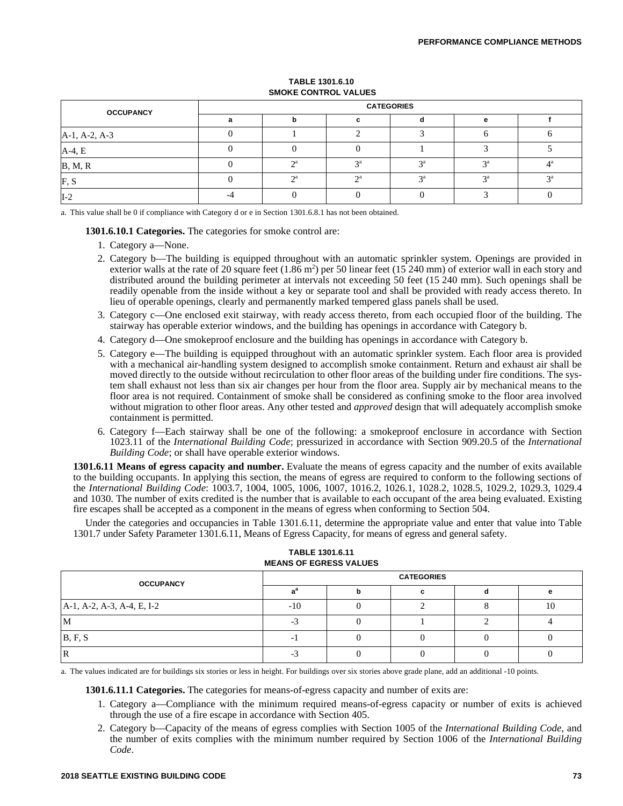## **TABLE 1301.6.10 SMOKE CONTROL VALUES**

| <b>OCCUPANCY</b> | <b>CATEGORIES</b> |                 |                 |    |    |  |  |  |
|------------------|-------------------|-----------------|-----------------|----|----|--|--|--|
|                  |                   |                 |                 |    |    |  |  |  |
| A-1, A-2, A-3    |                   |                 |                 |    |    |  |  |  |
| $A-4, E$         |                   |                 |                 |    |    |  |  |  |
| B, M, R          | $\bigcap$ a       | $\mathcal{D}$ a | $\mathcal{D}$ a |    |    |  |  |  |
| F.S              | $\bigcap$ a       | $\bigcap$ a     | 2a              | 2a | 2a |  |  |  |
| II-2             |                   |                 |                 |    |    |  |  |  |

a. This value shall be 0 if compliance with Category d or e in Section 1301.6.8.1 has not been obtained.

#### **1301.6.10.1 Categories.** The categories for smoke control are:

- 1. Category a—None.
- 2. Category b—The building is equipped throughout with an automatic sprinkler system. Openings are provided in exterior walls at the rate of 20 square feet  $(1.86 \text{ m}^2)$  per 50 linear feet  $(15 \text{ 240 mm})$  of exterior wall in each story and distributed around the building perimeter at intervals not exceeding 50 feet (15 240 mm). Such openings shall be readily openable from the inside without a key or separate tool and shall be provided with ready access thereto. In lieu of operable openings, clearly and permanently marked tempered glass panels shall be used.
- 3. Category c—One enclosed exit stairway, with ready access thereto, from each occupied floor of the building. The stairway has operable exterior windows, and the building has openings in accordance with Category b.
- 4. Category d—One smokeproof enclosure and the building has openings in accordance with Category b.
- 5. Category e—The building is equipped throughout with an automatic sprinkler system. Each floor area is provided with a mechanical air-handling system designed to accomplish smoke containment. Return and exhaust air shall be moved directly to the outside without recirculation to other floor areas of the building under fire conditions. The system shall exhaust not less than six air changes per hour from the floor area. Supply air by mechanical means to the floor area is not required. Containment of smoke shall be considered as confining smoke to the floor area involved without migration to other floor areas. Any other tested and *approved* design that will adequately accomplish smoke containment is permitted.
- 6. Category f—Each stairway shall be one of the following: a smokeproof enclosure in accordance with Section 1023.11 of the *International Building Code*; pressurized in accordance with Section 909.20.5 of the *International Building Code*; or shall have operable exterior windows.

**1301.6.11 Means of egress capacity and number.** Evaluate the means of egress capacity and the number of exits available to the building occupants. In applying this section, the means of egress are required to conform to the following sections of the *International Building Code*: 1003.7, 1004, 1005, 1006, 1007, 1016.2, 1026.1, 1028.2, 1028.5, 1029.2, 1029.3, 1029.4 and 1030. The number of exits credited is the number that is available to each occupant of the area being evaluated. Existing fire escapes shall be accepted as a component in the means of egress when conforming to Section 504.

Under the categories and occupancies in Table 1301.6.11, determine the appropriate value and enter that value into Table 1301.7 under Safety Parameter 1301.6.11, Means of Egress Capacity, for means of egress and general safety.

| <b>INLAINS OF LUNESS VALUES</b> |                   |  |  |  |    |  |  |
|---------------------------------|-------------------|--|--|--|----|--|--|
| <b>OCCUPANCY</b>                | <b>CATEGORIES</b> |  |  |  |    |  |  |
|                                 |                   |  |  |  |    |  |  |
| A-1, A-2, A-3, A-4, E, I-2      | $-10$             |  |  |  | 10 |  |  |
| -M                              |                   |  |  |  |    |  |  |
| B, F, S                         |                   |  |  |  |    |  |  |
|                                 |                   |  |  |  |    |  |  |

## **TABLE 1301.6.11 MEANS OF EGRESS VALUES**

a. The values indicated are for buildings six stories or less in height. For buildings over six stories above grade plane, add an additional -10 points.

**1301.6.11.1 Categories.** The categories for means-of-egress capacity and number of exits are:

- 1. Category a—Compliance with the minimum required means-of-egress capacity or number of exits is achieved through the use of a fire escape in accordance with Section 405.
- 2. Category b—Capacity of the means of egress complies with Section 1005 of the *International Building Code*, and the number of exits complies with the minimum number required by Section 1006 of the *International Building Code*.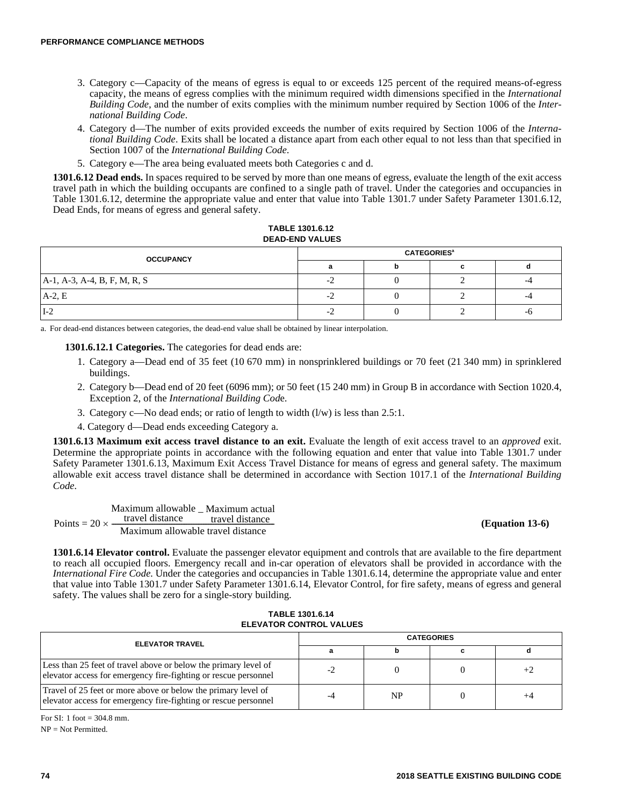- 3. Category c—Capacity of the means of egress is equal to or exceeds 125 percent of the required means-of-egress capacity, the means of egress complies with the minimum required width dimensions specified in the *International Building Code*, and the number of exits complies with the minimum number required by Section 1006 of the *International Building Code*.
- 4. Category d—The number of exits provided exceeds the number of exits required by Section 1006 of the *International Building Code*. Exits shall be located a distance apart from each other equal to not less than that specified in Section 1007 of the *International Building Code*.
- 5. Category e—The area being evaluated meets both Categories c and d.

**1301.6.12 Dead ends.** In spaces required to be served by more than one means of egress, evaluate the length of the exit access travel path in which the building occupants are confined to a single path of travel. Under the categories and occupancies in Table 1301.6.12, determine the appropriate value and enter that value into Table 1301.7 under Safety Parameter 1301.6.12, Dead Ends, for means of egress and general safety.

#### **TABLE 1301.6.12 DEAD-END VALUES**

| <b>OCCUPANCY</b>             | <b>CATEGORIES<sup>®</sup></b> |  |  |    |  |  |
|------------------------------|-------------------------------|--|--|----|--|--|
|                              |                               |  |  |    |  |  |
| A-1, A-3, A-4, B, F, M, R, S |                               |  |  |    |  |  |
| $A-2, E$                     | $\overline{\phantom{0}}$      |  |  |    |  |  |
| $I-2$                        |                               |  |  | -0 |  |  |

a. For dead-end distances between categories, the dead-end value shall be obtained by linear interpolation.

**1301.6.12.1 Categories.** The categories for dead ends are:

- 1. Category a—Dead end of 35 feet (10 670 mm) in nonsprinklered buildings or 70 feet (21 340 mm) in sprinklered buildings.
- 2. Category b—Dead end of 20 feet (6096 mm); or 50 feet (15 240 mm) in Group B in accordance with Section 1020.4, Exception 2, of the *International Building Cod*e.
- 3. Category c—No dead ends; or ratio of length to width  $(l/w)$  is less than 2.5:1.
- 4. Category d—Dead ends exceeding Category a.

**1301.6.13 Maximum exit access travel distance to an exit.** Evaluate the length of exit access travel to an *approved* exit. Determine the appropriate points in accordance with the following equation and enter that value into Table 1301.7 under Safety Parameter 1301.6.13, Maximum Exit Access Travel Distance for means of egress and general safety. The maximum allowable exit access travel distance shall be determined in accordance with Section 1017.1 of the *International Building Code*.

Points =  $20 \times$ Maximum allowable Maximum actual –  $\times$  travel distance travel distance Maximum allowable travel distance

#### **(Equation 13-6)**

**1301.6.14 Elevator control.** Evaluate the passenger elevator equipment and controls that are available to the fire department to reach all occupied floors. Emergency recall and in-car operation of elevators shall be provided in accordance with the *International Fire Code*. Under the categories and occupancies in Table 1301.6.14, determine the appropriate value and enter that value into Table 1301.7 under Safety Parameter 1301.6.14, Elevator Control, for fire safety, means of egress and general safety. The values shall be zero for a single-story building.

| LLLVAIVIN OVIIIINVL VALULU                                                                                                         |                   |           |  |      |  |  |
|------------------------------------------------------------------------------------------------------------------------------------|-------------------|-----------|--|------|--|--|
| <b>ELEVATOR TRAVEL</b>                                                                                                             | <b>CATEGORIES</b> |           |  |      |  |  |
|                                                                                                                                    |                   |           |  |      |  |  |
| Less than 25 feet of travel above or below the primary level of<br>elevator access for emergency fire-fighting or rescue personnel |                   |           |  | $+2$ |  |  |
| Travel of 25 feet or more above or below the primary level of<br>elevator access for emergency fire-fighting or rescue personnel   |                   | <b>NP</b> |  |      |  |  |

**TABLE 1301.6.14 ELEVATOR CONTROL VALUES**

For SI: 1 foot = 304.8 mm.

NP = Not Permitted.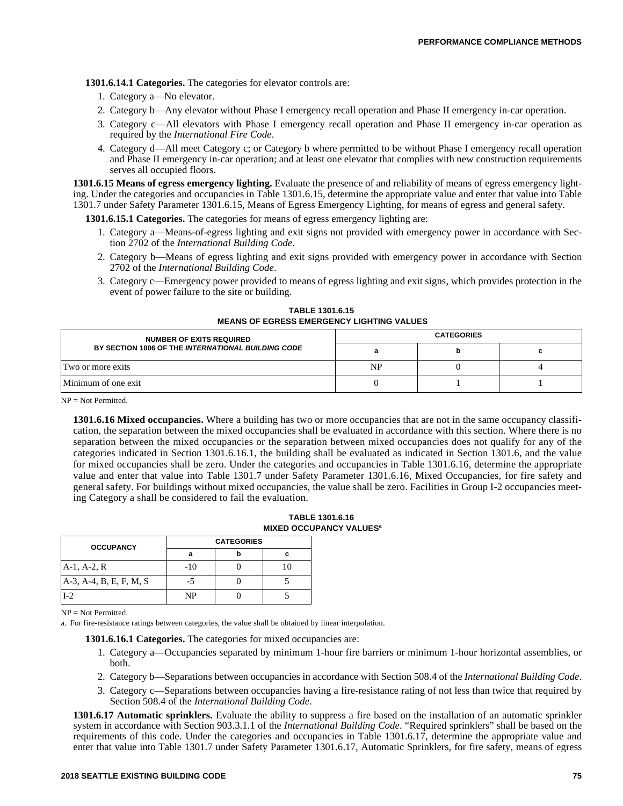**1301.6.14.1 Categories.** The categories for elevator controls are:

- 1. Category a—No elevator.
- 2. Category b—Any elevator without Phase I emergency recall operation and Phase II emergency in-car operation.
- 3. Category c—All elevators with Phase I emergency recall operation and Phase II emergency in-car operation as required by the *International Fire Code*.
- 4. Category d—All meet Category c; or Category b where permitted to be without Phase I emergency recall operation and Phase II emergency in-car operation; and at least one elevator that complies with new construction requirements serves all occupied floors.

**1301.6.15 Means of egress emergency lighting.** Evaluate the presence of and reliability of means of egress emergency lighting. Under the categories and occupancies in Table 1301.6.15, determine the appropriate value and enter that value into Table 1301.7 under Safety Parameter 1301.6.15, Means of Egress Emergency Lighting, for means of egress and general safety.

**1301.6.15.1 Categories.** The categories for means of egress emergency lighting are:

- 1. Category a—Means-of-egress lighting and exit signs not provided with emergency power in accordance with Section 2702 of the *International Building Code*.
- 2. Category b—Means of egress lighting and exit signs provided with emergency power in accordance with Section 2702 of the *International Building Code*.
- 3. Category c—Emergency power provided to means of egress lighting and exit signs, which provides protection in the event of power failure to the site or building.

**TABLE 1301.6.15 MEANS OF EGRESS EMERGENCY LIGHTING VALUES**

| <b>NUMBER OF EXITS REQUIRED</b>                    | <b>CATEGORIES</b> |  |  |  |
|----------------------------------------------------|-------------------|--|--|--|
| BY SECTION 1006 OF THE INTERNATIONAL BUILDING CODE |                   |  |  |  |
| Two or more exits                                  | NP                |  |  |  |
| Minimum of one exit                                |                   |  |  |  |

 $NP = Not Permitted.$ 

**1301.6.16 Mixed occupancies.** Where a building has two or more occupancies that are not in the same occupancy classification, the separation between the mixed occupancies shall be evaluated in accordance with this section. Where there is no separation between the mixed occupancies or the separation between mixed occupancies does not qualify for any of the categories indicated in Section 1301.6.16.1, the building shall be evaluated as indicated in Section 1301.6, and the value for mixed occupancies shall be zero. Under the categories and occupancies in Table 1301.6.16, determine the appropriate value and enter that value into Table 1301.7 under Safety Parameter 1301.6.16, Mixed Occupancies, for fire safety and general safety. For buildings without mixed occupancies, the value shall be zero. Facilities in Group I-2 occupancies meeting Category a shall be considered to fail the evaluation.

#### **TABLE 1301.6.16 MIXED OCCUPANCY VALUES<sup>a</sup>**

| <b>OCCUPANCY</b>        |     | <b>CATEGORIES</b> |  |  |  |
|-------------------------|-----|-------------------|--|--|--|
|                         | а   |                   |  |  |  |
| $A-1, A-2, R$           | -10 |                   |  |  |  |
| A-3, A-4, B, E, F, M, S |     |                   |  |  |  |
|                         | NP  |                   |  |  |  |

NP = Not Permitted.

a. For fire-resistance ratings between categories, the value shall be obtained by linear interpolation.

**1301.6.16.1 Categories.** The categories for mixed occupancies are:

- 1. Category a—Occupancies separated by minimum 1-hour fire barriers or minimum 1-hour horizontal assemblies, or both.
- 2. Category b—Separations between occupancies in accordance with Section 508.4 of the *International Building Code*.
- 3. Category c—Separations between occupancies having a fire-resistance rating of not less than twice that required by Section 508.4 of the *International Building Code*.

**1301.6.17 Automatic sprinklers.** Evaluate the ability to suppress a fire based on the installation of an automatic sprinkler system in accordance with Section 903.3.1.1 of the *International Building Code*. "Required sprinklers" shall be based on the requirements of this code. Under the categories and occupancies in Table 1301.6.17, determine the appropriate value and enter that value into Table 1301.7 under Safety Parameter 1301.6.17, Automatic Sprinklers, for fire safety, means of egress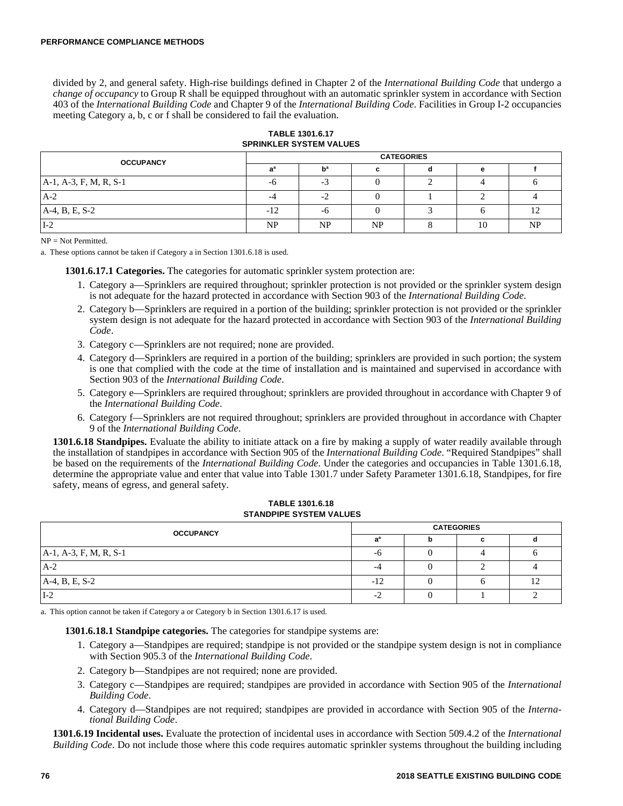divided by 2, and general safety. High-rise buildings defined in Chapter 2 of the *International Building Code* that undergo a *change of occupancy* to Group R shall be equipped throughout with an automatic sprinkler system in accordance with Section 403 of the *International Building Code* and Chapter 9 of the *International Building Code*. Facilities in Group I-2 occupancies meeting Category a, b, c or f shall be considered to fail the evaluation.

#### **TABLE 1301.6.17 SPRINKLER SYSTEM VALUES**

| <b>OCCUPANCY</b>          | <b>CATEGORIES</b>     |     |    |  |    |           |  |
|---------------------------|-----------------------|-----|----|--|----|-----------|--|
|                           |                       |     |    |  |    |           |  |
| $A-1$ , A-3, F, M, R, S-1 | -0                    | - 1 |    |  |    |           |  |
| $A-2$                     |                       | $-$ |    |  |    |           |  |
| A-4, B, E, S-2            | 1 <sub>0</sub><br>-12 | -ო  |    |  |    |           |  |
| $I-2$                     | NP                    | NP  | NP |  | 10 | <b>NP</b> |  |

 $NP = Not Permitted$ .

a. These options cannot be taken if Category a in Section 1301.6.18 is used.

**1301.6.17.1 Categories.** The categories for automatic sprinkler system protection are:

- 1. Category a—Sprinklers are required throughout; sprinkler protection is not provided or the sprinkler system design is not adequate for the hazard protected in accordance with Section 903 of the *International Building Code*.
- 2. Category b—Sprinklers are required in a portion of the building; sprinkler protection is not provided or the sprinkler system design is not adequate for the hazard protected in accordance with Section 903 of the *International Building Code*.
- 3. Category c—Sprinklers are not required; none are provided.
- 4. Category d—Sprinklers are required in a portion of the building; sprinklers are provided in such portion; the system is one that complied with the code at the time of installation and is maintained and supervised in accordance with Section 903 of the *International Building Code*.
- 5. Category e—Sprinklers are required throughout; sprinklers are provided throughout in accordance with Chapter 9 of the *International Building Code*.
- 6. Category f—Sprinklers are not required throughout; sprinklers are provided throughout in accordance with Chapter 9 of the *International Building Code*.

**1301.6.18 Standpipes.** Evaluate the ability to initiate attack on a fire by making a supply of water readily available through the installation of standpipes in accordance with Section 905 of the *International Building Code*. "Required Standpipes" shall be based on the requirements of the *International Building Code*. Under the categories and occupancies in Table 1301.6.18, determine the appropriate value and enter that value into Table 1301.7 under Safety Parameter 1301.6.18, Standpipes, for fire safety, means of egress, and general safety.

#### **TABLE 1301.6.18 STANDPIPE SYSTEM VALUES**

| <b>OCCUPANCY</b>       |       | <b>CATEGORIES</b> |  |  |  |  |
|------------------------|-------|-------------------|--|--|--|--|
|                        |       |                   |  |  |  |  |
| A-1, A-3, F, M, R, S-1 | -0    |                   |  |  |  |  |
| $A-2$                  | -4    |                   |  |  |  |  |
| A-4, B, E, S-2         | $-12$ |                   |  |  |  |  |
| $I-2$                  | - 4   |                   |  |  |  |  |

a. This option cannot be taken if Category a or Category b in Section 1301.6.17 is used.

**1301.6.18.1 Standpipe categories.** The categories for standpipe systems are:

- 1. Category a—Standpipes are required; standpipe is not provided or the standpipe system design is not in compliance with Section 905.3 of the *International Building Code*.
- 2. Category b—Standpipes are not required; none are provided.
- 3. Category c—Standpipes are required; standpipes are provided in accordance with Section 905 of the *International Building Code*.
- 4. Category d—Standpipes are not required; standpipes are provided in accordance with Section 905 of the *International Building Code*.

**1301.6.19 Incidental uses.** Evaluate the protection of incidental uses in accordance with Section 509.4.2 of the *International Building Code*. Do not include those where this code requires automatic sprinkler systems throughout the building including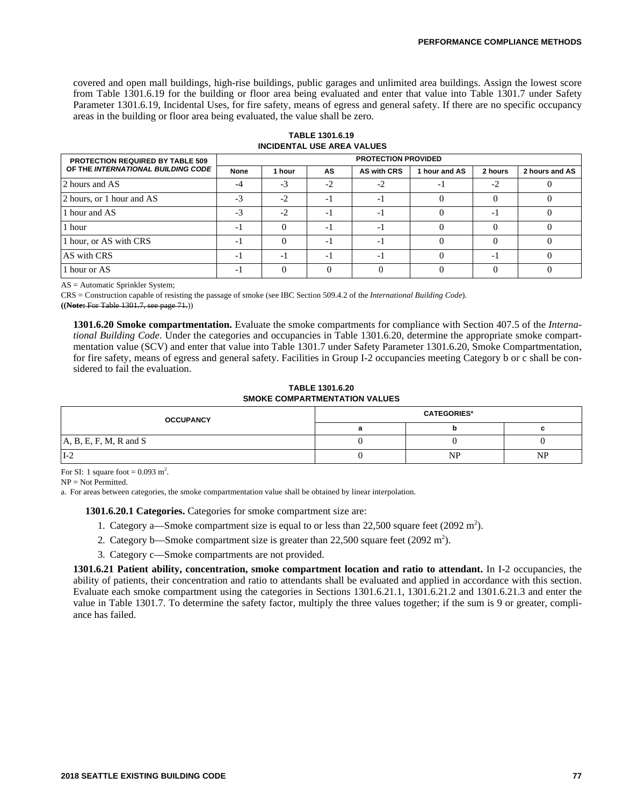covered and open mall buildings, high-rise buildings, public garages and unlimited area buildings. Assign the lowest score from Table 1301.6.19 for the building or floor area being evaluated and enter that value into Table 1301.7 under Safety Parameter 1301.6.19, Incidental Uses, for fire safety, means of egress and general safety. If there are no specific occupancy areas in the building or floor area being evaluated, the value shall be zero.

**TABLE 1301.6.19 INCIDENTAL USE AREA VALUES**

| <b>PROTECTION REQUIRED BY TABLE 509</b> | <b>PROTECTION PROVIDED</b> |        |                          |                    |               |                          |                |
|-----------------------------------------|----------------------------|--------|--------------------------|--------------------|---------------|--------------------------|----------------|
| OF THE INTERNATIONAL BUILDING CODE      | <b>None</b>                | 1 hour | <b>AS</b>                | <b>AS with CRS</b> | 1 hour and AS | 2 hours                  | 2 hours and AS |
| 2 hours and AS                          | $-4$                       | $-3$   | $-2$                     | $-2$               |               | $-2$                     |                |
| 2 hours, or 1 hour and AS               | $-3$                       | $-2$   | - 1                      | - 1                |               |                          |                |
| 1 hour and AS                           | $-3$                       | $-2$   | $-1$                     | $-1$               |               | $-1$                     |                |
| 1 hour                                  | - 1                        |        | - 1                      |                    |               |                          |                |
| 1 hour, or AS with CRS                  | - 1                        |        | $\overline{\phantom{a}}$ | -1                 |               |                          |                |
| AS with CRS                             | - 1                        | - 1    | -1                       | -1                 |               | $\overline{\phantom{0}}$ |                |
| 1 hour or AS                            | - 1                        |        |                          |                    |               |                          |                |

AS = Automatic Sprinkler System;

CRS = Construction capable of resisting the passage of smoke (see IBC Section 509.4.2 of the *International Building Code*). **((Note:** For Table 1301.7, see page 71.))

**1301.6.20 Smoke compartmentation.** Evaluate the smoke compartments for compliance with Section 407.5 of the *International Building Code*. Under the categories and occupancies in Table 1301.6.20, determine the appropriate smoke compartmentation value (SCV) and enter that value into Table 1301.7 under Safety Parameter 1301.6.20, Smoke Compartmentation, for fire safety, means of egress and general safety. Facilities in Group I-2 occupancies meeting Category b or c shall be considered to fail the evaluation.

**TABLE 1301.6.20 SMOKE COMPARTMENTATION VALUES**

| <b>OCCUPANCY</b>         | <b>CATEGORIES</b> <sup>a</sup> |           |           |  |  |
|--------------------------|--------------------------------|-----------|-----------|--|--|
|                          |                                |           |           |  |  |
| $A, B, E, F, M, R$ and S |                                |           |           |  |  |
| $I-2$                    |                                | <b>NP</b> | <b>NP</b> |  |  |

For SI: 1 square foot =  $0.093$  m<sup>2</sup>.

 $NP = Not Permitted.$ 

a. For areas between categories, the smoke compartmentation value shall be obtained by linear interpolation.

**1301.6.20.1 Categories.** Categories for smoke compartment size are:

- 1. Category a—Smoke compartment size is equal to or less than  $22,500$  square feet (2092 m<sup>2</sup>).
- 2. Category b—Smoke compartment size is greater than  $22,500$  square feet (2092 m<sup>2</sup>).
- 3. Category c—Smoke compartments are not provided.

**1301.6.21 Patient ability, concentration, smoke compartment location and ratio to attendant.** In I-2 occupancies, the ability of patients, their concentration and ratio to attendants shall be evaluated and applied in accordance with this section. Evaluate each smoke compartment using the categories in Sections 1301.6.21.1, 1301.6.21.2 and 1301.6.21.3 and enter the value in Table 1301.7. To determine the safety factor, multiply the three values together; if the sum is 9 or greater, compliance has failed.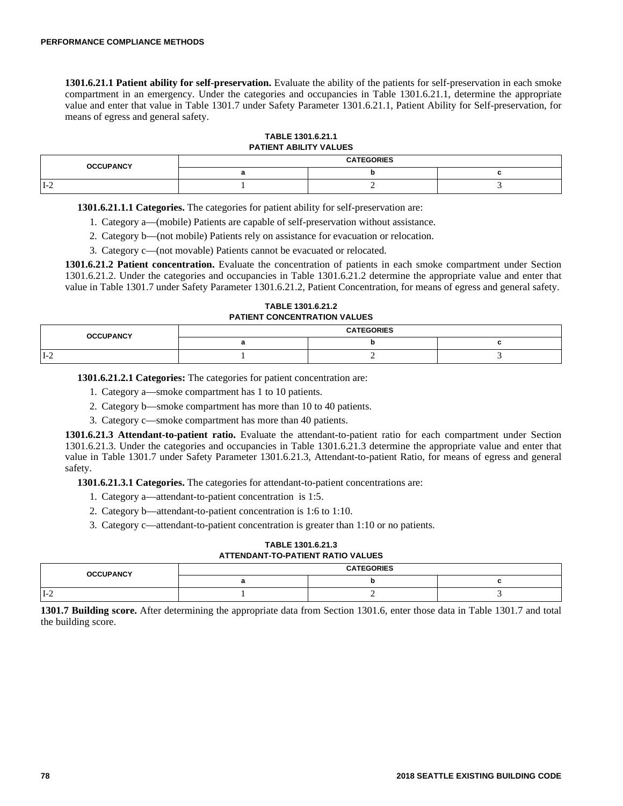**1301.6.21.1 Patient ability for self-preservation.** Evaluate the ability of the patients for self-preservation in each smoke compartment in an emergency. Under the categories and occupancies in Table 1301.6.21.1, determine the appropriate value and enter that value in Table 1301.7 under Safety Parameter 1301.6.21.1, Patient Ability for Self-preservation, for means of egress and general safety.

| TABLE 1301.6.21.1      |  |
|------------------------|--|
| PATIENT ABILITY VALUES |  |

| <b>OCCUPANCY</b> | <b>CATEGORIES</b> |  |  |  |  |
|------------------|-------------------|--|--|--|--|
|                  |                   |  |  |  |  |
| $I-2$            |                   |  |  |  |  |

**1301.6.21.1.1 Categories.** The categories for patient ability for self-preservation are:

1. Category a—(mobile) Patients are capable of self-preservation without assistance.

2. Category b—(not mobile) Patients rely on assistance for evacuation or relocation.

3. Category c—(not movable) Patients cannot be evacuated or relocated.

**1301.6.21.2 Patient concentration.** Evaluate the concentration of patients in each smoke compartment under Section 1301.6.21.2. Under the categories and occupancies in Table 1301.6.21.2 determine the appropriate value and enter that value in Table 1301.7 under Safety Parameter 1301.6.21.2, Patient Concentration, for means of egress and general safety.

**TABLE 1301.6.21.2 PATIENT CONCENTRATION VALUES**

| <b>OCCUPANCY</b> | <b>CATEGORIES</b> |  |  |  |  |
|------------------|-------------------|--|--|--|--|
|                  |                   |  |  |  |  |
| 1-4              |                   |  |  |  |  |

**1301.6.21.2.1 Categories:** The categories for patient concentration are:

1. Category a—smoke compartment has 1 to 10 patients.

2. Category b—smoke compartment has more than 10 to 40 patients.

3. Category c—smoke compartment has more than 40 patients.

**1301.6.21.3 Attendant-to-patient ratio.** Evaluate the attendant-to-patient ratio for each compartment under Section 1301.6.21.3. Under the categories and occupancies in Table 1301.6.21.3 determine the appropriate value and enter that value in Table 1301.7 under Safety Parameter 1301.6.21.3, Attendant-to-patient Ratio, for means of egress and general safety.

**1301.6.21.3.1 Categories.** The categories for attendant-to-patient concentrations are:

- 1. Category a—attendant-to-patient concentration is 1:5.
- 2. Category b—attendant-to-patient concentration is 1:6 to 1:10.
- 3. Category c—attendant-to-patient concentration is greater than 1:10 or no patients.

## **TABLE 1301.6.21.3 ATTENDANT-TO-PATIENT RATIO VALUES**

| <b>OCCUPANCY</b> | <b>CATEGORIES</b> |  |  |  |  |
|------------------|-------------------|--|--|--|--|
|                  |                   |  |  |  |  |
| $1 - 2$          |                   |  |  |  |  |

**1301.7 Building score.** After determining the appropriate data from Section 1301.6, enter those data in Table 1301.7 and total the building score.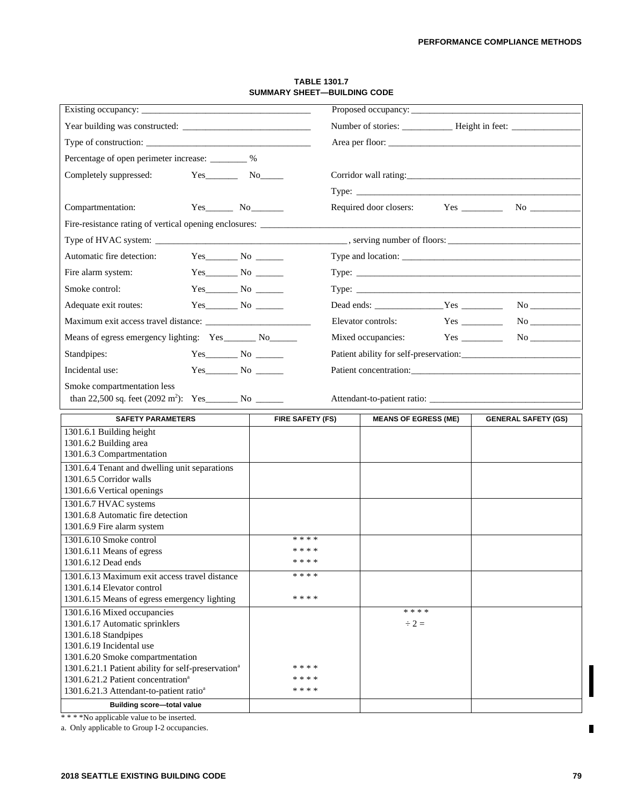| Existing occupancy:                                                                      |                          |                    | Proposed occupancy:         |  |                            |  |
|------------------------------------------------------------------------------------------|--------------------------|--------------------|-----------------------------|--|----------------------------|--|
|                                                                                          |                          |                    |                             |  |                            |  |
|                                                                                          |                          |                    |                             |  |                            |  |
| Percentage of open perimeter increase: ________ %                                        |                          |                    |                             |  |                            |  |
| Completely suppressed:                                                                   | $Yes$ No $No$            |                    |                             |  |                            |  |
|                                                                                          |                          |                    |                             |  |                            |  |
|                                                                                          |                          |                    |                             |  |                            |  |
| Compartmentation:                                                                        | Yes No                   |                    |                             |  |                            |  |
| Fire-resistance rating of vertical opening enclosures: _________________________         |                          |                    |                             |  |                            |  |
|                                                                                          |                          |                    |                             |  |                            |  |
| Automatic fire detection:                                                                | $Yes \tNo \t—\tNo \t—\t$ |                    |                             |  |                            |  |
| Fire alarm system:                                                                       |                          |                    |                             |  |                            |  |
| Smoke control:                                                                           |                          |                    |                             |  |                            |  |
| Adequate exit routes:                                                                    |                          |                    |                             |  | Dead ends: Yes No          |  |
|                                                                                          |                          |                    | Elevator controls:          |  | $Yes$ No $\_\_\_\_\_\_\$   |  |
| Means of egress emergency lighting: Yes ________ No________                              |                          |                    | Mixed occupancies:          |  | $Yes$ No $\qquad$          |  |
|                                                                                          |                          |                    |                             |  |                            |  |
| Standpipes:                                                                              |                          |                    |                             |  |                            |  |
| Incidental use:                                                                          |                          |                    |                             |  |                            |  |
| Smoke compartmentation less                                                              |                          |                    |                             |  |                            |  |
|                                                                                          |                          |                    |                             |  |                            |  |
|                                                                                          |                          |                    |                             |  |                            |  |
| <b>SAFETY PARAMETERS</b>                                                                 |                          | FIRE SAFETY (FS)   | <b>MEANS OF EGRESS (ME)</b> |  | <b>GENERAL SAFETY (GS)</b> |  |
| 1301.6.1 Building height                                                                 |                          |                    |                             |  |                            |  |
| 1301.6.2 Building area                                                                   |                          |                    |                             |  |                            |  |
| 1301.6.3 Compartmentation                                                                |                          |                    |                             |  |                            |  |
| 1301.6.4 Tenant and dwelling unit separations<br>1301.6.5 Corridor walls                 |                          |                    |                             |  |                            |  |
| 1301.6.6 Vertical openings                                                               |                          |                    |                             |  |                            |  |
| 1301.6.7 HVAC systems                                                                    |                          |                    |                             |  |                            |  |
| 1301.6.8 Automatic fire detection<br>1301.6.9 Fire alarm system                          |                          |                    |                             |  |                            |  |
| 1301.6.10 Smoke control                                                                  |                          | * * * *            |                             |  |                            |  |
| 1301.6.11 Means of egress                                                                |                          | * * * *            |                             |  |                            |  |
| 1301.6.12 Dead ends                                                                      |                          | * * * *            |                             |  |                            |  |
| 1301.6.13 Maximum exit access travel distance                                            |                          | * * * *            |                             |  |                            |  |
| 1301.6.14 Elevator control<br>1301.6.15 Means of egress emergency lighting               |                          | * * * *            |                             |  |                            |  |
| 1301.6.16 Mixed occupancies                                                              |                          |                    | * * * *                     |  |                            |  |
| 1301.6.17 Automatic sprinklers                                                           |                          |                    | $\div 2 =$                  |  |                            |  |
| 1301.6.18 Standpipes<br>1301.6.19 Incidental use                                         |                          |                    |                             |  |                            |  |
| 1301.6.20 Smoke compartmentation                                                         |                          |                    |                             |  |                            |  |
| 1301.6.21.1 Patient ability for self-preservation <sup>a</sup>                           |                          | * * * *            |                             |  |                            |  |
| 1301.6.21.2 Patient concentration <sup>a</sup>                                           |                          | * * * *<br>* * * * |                             |  |                            |  |
| 1301.6.21.3 Attendant-to-patient ratio <sup>a</sup><br><b>Building score-total value</b> |                          |                    |                             |  |                            |  |

#### **TABLE 1301.7 SUMMARY SHEET—BUILDING CODE**

\* \* \* \*No applicable value to be inserted.

a. Only applicable to Group I-2 occupancies.

Ī